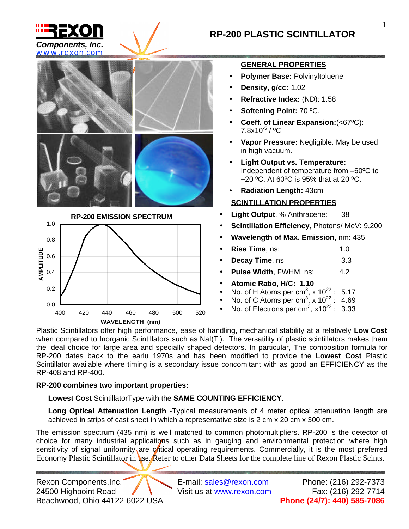

0.0

0.2

0.4

# **RP-200 PLASTIC SCINTILLATOR**



## **GENERAL PROPERTIES**

- **Polymer Base:** Polvinyltoluene
- **Density, g/cc:** 1.02
- **Refractive Index:** (ND): 1.58
- **Softening Point:** 70 ºC.
- **Coeff. of Linear Expansion:**(<67ºC):  $7.8x10^{-5}$  / °C
- **Vapor Pressure:** Negligible. May be used in high vacuum.
- **Light Output vs. Temperature:** Independent of temperature from –60ºC to +20 ºC. At 60ºC is 95% that at 20 ºC.
- **Radiation Length:** 43cm

## **SCINTILLATION PROPERTIES**

- **Light Output**, % Anthracene: 38
- **Scintillation Efficiency,** Photons/ MeV: 9,200
- **Wavelength of Max. Emission**, nm: 435
- **Rise Time**, ns: 1.0
- **Decay Time**, ns 3.3
- **Pulse Width, FWHM, ns: 4.2**
- **Atomic Ratio, H/C: 1.10**
- No. of H Atoms per cm<sup>3</sup>, x  $10^{22}$  : 5.17
- No. of C Atoms per cm<sup>3</sup>, x  $10^{22}$  : 4.69
- No. of Electrons per cm<sup>3</sup>,  $x10^{22}$  : 3.33

Plastic Scintillators offer high performance, ease of handling, mechanical stability at a relatively **Low Cost** when compared to Inorganic Scintillators such as NaI(TI). The versatility of plastic scintillators makes them the ideal choice for large area and specially shaped detectors. In particular, The composition formula for RP-200 dates back to the earlu 1970s and has been modified to provide the **Lowest Cost** Plastic Scintillator available where timing is a secondary issue concomitant with as good an EFFICIENCY as the RP-408 and RP-400.

## **RP-200 combines two important properties:**

400 420 440 460 480 500 520 **WAVELENGTH (nm)**

**Lowest Cost** ScintillatorType with the **SAME COUNTING EFFICIENCY**.

**Long Optical Attenuation Length** -Typical measurements of 4 meter optical attenuation length are achieved in strips of cast sheet in which a representative size is 2 cm x 20 cm x 300 cm.

The emission spectrum (435 nm) is well matched to common photomultipliers. RP-200 is the detector of choice for many industrial applications such as in gauging and environmental protection where high sensitivity of signal uniformity are critical operating requirements. Commercially, it is the most preferred Economy Plastic Scintillator in use. Refer to other Data Sheets for the complete line of Rexon Plastic Scints.

Rexon Components, Inc. Example 2018 E-mail: sales@rexon.com Phone: (216) 292-7373 24500 Highpoint Road  $\sqrt{$  Visit us at www.rexon.com Fax: (216) 292-7714 Beachwood, Ohio 44122-6022 USA **Phone (24/7): 440) 585-7086**